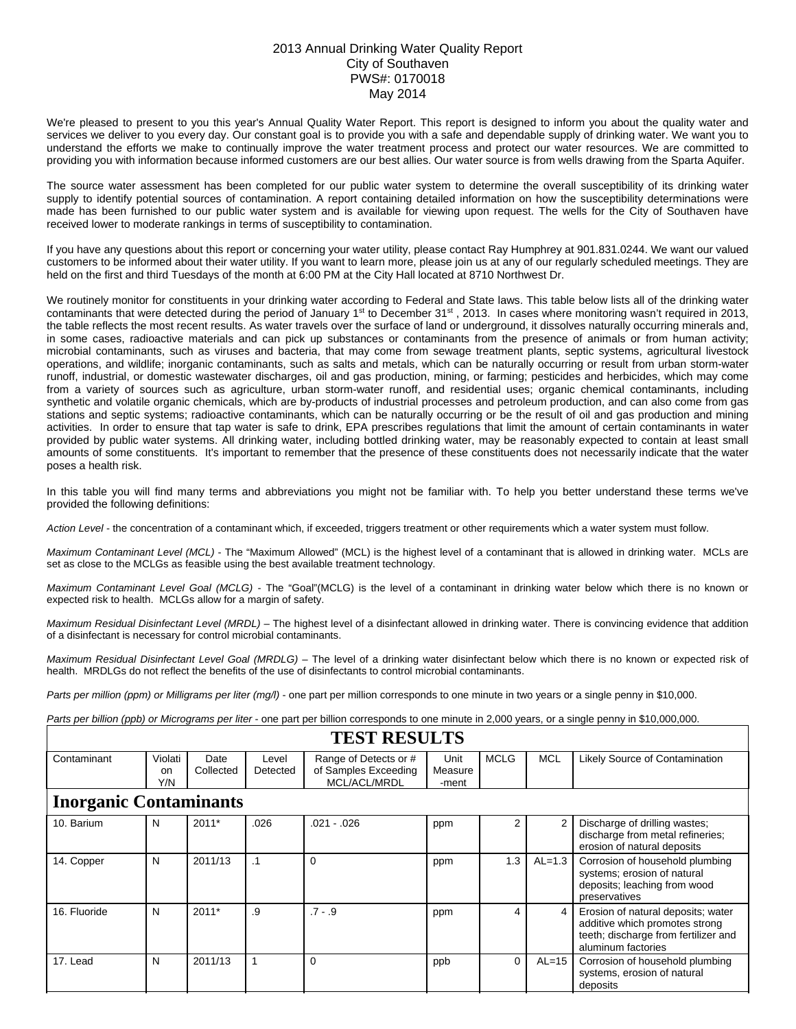## 2013 Annual Drinking Water Quality Report City of Southaven PWS#: 0170018 May 2014

We're pleased to present to you this year's Annual Quality Water Report. This report is designed to inform you about the quality water and services we deliver to you every day. Our constant goal is to provide you with a safe and dependable supply of drinking water. We want you to understand the efforts we make to continually improve the water treatment process and protect our water resources. We are committed to providing you with information because informed customers are our best allies. Our water source is from wells drawing from the Sparta Aquifer.

The source water assessment has been completed for our public water system to determine the overall susceptibility of its drinking water supply to identify potential sources of contamination. A report containing detailed information on how the susceptibility determinations were made has been furnished to our public water system and is available for viewing upon request. The wells for the City of Southaven have received lower to moderate rankings in terms of susceptibility to contamination.

If you have any questions about this report or concerning your water utility, please contact Ray Humphrey at 901.831.0244. We want our valued customers to be informed about their water utility. If you want to learn more, please join us at any of our regularly scheduled meetings. They are held on the first and third Tuesdays of the month at 6:00 PM at the City Hall located at 8710 Northwest Dr.

We routinely monitor for constituents in your drinking water according to Federal and State laws. This table below lists all of the drinking water contaminants that were detected during the period of January 1<sup>st</sup> to December 31<sup>st</sup>, 2013. In cases where monitoring wasn't required in 2013, the table reflects the most recent results. As water travels over the surface of land or underground, it dissolves naturally occurring minerals and, in some cases, radioactive materials and can pick up substances or contaminants from the presence of animals or from human activity; microbial contaminants, such as viruses and bacteria, that may come from sewage treatment plants, septic systems, agricultural livestock operations, and wildlife; inorganic contaminants, such as salts and metals, which can be naturally occurring or result from urban storm-water runoff, industrial, or domestic wastewater discharges, oil and gas production, mining, or farming; pesticides and herbicides, which may come from a variety of sources such as agriculture, urban storm-water runoff, and residential uses; organic chemical contaminants, including synthetic and volatile organic chemicals, which are by-products of industrial processes and petroleum production, and can also come from gas stations and septic systems; radioactive contaminants, which can be naturally occurring or be the result of oil and gas production and mining activities. In order to ensure that tap water is safe to drink, EPA prescribes regulations that limit the amount of certain contaminants in water provided by public water systems. All drinking water, including bottled drinking water, may be reasonably expected to contain at least small amounts of some constituents. It's important to remember that the presence of these constituents does not necessarily indicate that the water poses a health risk.

In this table you will find many terms and abbreviations you might not be familiar with. To help you better understand these terms we've provided the following definitions:

*Action Level* - the concentration of a contaminant which, if exceeded, triggers treatment or other requirements which a water system must follow.

*Maximum Contaminant Level (MCL)* - The "Maximum Allowed" (MCL) is the highest level of a contaminant that is allowed in drinking water. MCLs are set as close to the MCLGs as feasible using the best available treatment technology.

*Maximum Contaminant Level Goal (MCLG)* - The "Goal"(MCLG) is the level of a contaminant in drinking water below which there is no known or expected risk to health. MCLGs allow for a margin of safety.

*Maximum Residual Disinfectant Level (MRDL)* – The highest level of a disinfectant allowed in drinking water. There is convincing evidence that addition of a disinfectant is necessary for control microbial contaminants.

*Maximum Residual Disinfectant Level Goal (MRDLG)* – The level of a drinking water disinfectant below which there is no known or expected risk of health. MRDLGs do not reflect the benefits of the use of disinfectants to control microbial contaminants.

*Parts per million (ppm) or Milligrams per liter (mg/l)* - one part per million corresponds to one minute in two years or a single penny in \$10,000.

*Parts per billion (ppb) or Micrograms per liter* - one part per billion corresponds to one minute in 2,000 years, or a single penny in \$10,000,000.

| <b>TEST RESULTS</b>           |                      |                   |                   |                                                               |                          |             |            |                                                                                                                                    |  |  |
|-------------------------------|----------------------|-------------------|-------------------|---------------------------------------------------------------|--------------------------|-------------|------------|------------------------------------------------------------------------------------------------------------------------------------|--|--|
| Contaminant                   | Violati<br>on<br>Y/N | Date<br>Collected | Level<br>Detected | Range of Detects or #<br>of Samples Exceeding<br>MCL/ACL/MRDL | Unit<br>Measure<br>-ment | <b>MCLG</b> | <b>MCL</b> | Likely Source of Contamination                                                                                                     |  |  |
| <b>Inorganic Contaminants</b> |                      |                   |                   |                                                               |                          |             |            |                                                                                                                                    |  |  |
| 10. Barium                    | N                    | $2011*$           | .026              | $.021 - .026$                                                 | ppm                      | 2           |            | Discharge of drilling wastes;<br>discharge from metal refineries;<br>erosion of natural deposits                                   |  |  |
| 14. Copper                    | N                    | 2011/13           | $\cdot$ 1         | 0                                                             | ppm                      | 1.3         | $AL=1.3$   | Corrosion of household plumbing<br>systems; erosion of natural<br>deposits; leaching from wood<br>preservatives                    |  |  |
| 16. Fluoride                  | N                    | $2011*$           | .9                | $.7 - .9$                                                     | ppm                      | 4           | 4          | Erosion of natural deposits; water<br>additive which promotes strong<br>teeth; discharge from fertilizer and<br>aluminum factories |  |  |
| 17. Lead                      | N                    | 2011/13           |                   | 0                                                             | ppb                      | $\Omega$    | $AL=15$    | Corrosion of household plumbing<br>systems, erosion of natural<br>deposits                                                         |  |  |